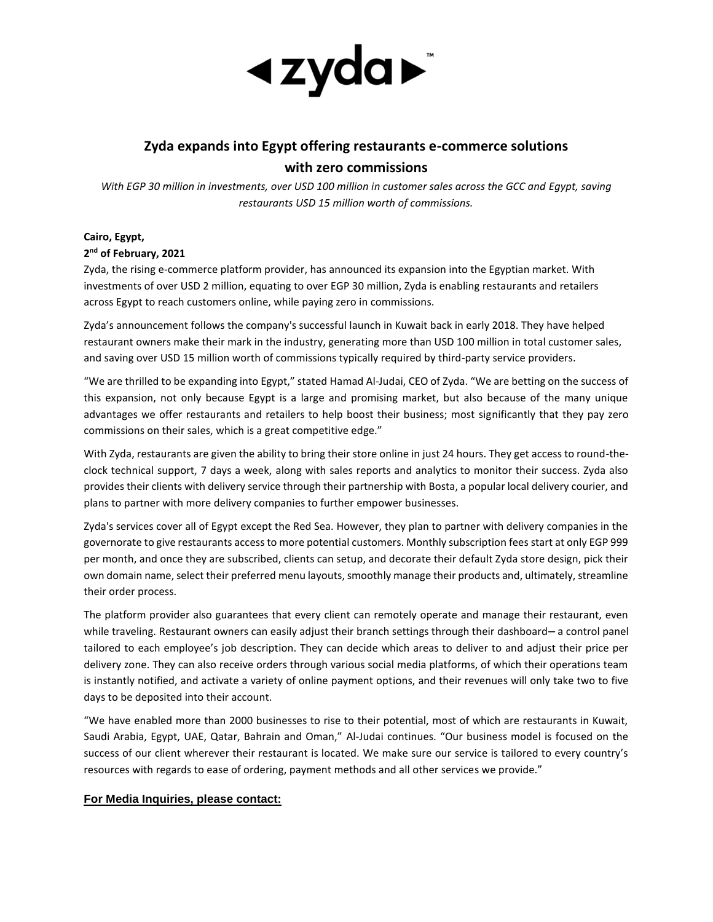

## **Zyda expands into Egypt offering restaurants e-commerce solutions with zero commissions**

*With EGP 30 million in investments, over USD 100 million in customer sales across the GCC and Egypt, saving restaurants USD 15 million worth of commissions.*

## **Cairo, Egypt, 2 nd of February, 2021**

Zyda, the rising e-commerce platform provider, has announced its expansion into the Egyptian market. With investments of over USD 2 million, equating to over EGP 30 million, Zyda is enabling restaurants and retailers across Egypt to reach customers online, while paying zero in commissions.

Zyda's announcement follows the company's successful launch in Kuwait back in early 2018. They have helped restaurant owners make their mark in the industry, generating more than USD 100 million in total customer sales, and saving over USD 15 million worth of commissions typically required by third-party service providers.

"We are thrilled to be expanding into Egypt," stated Hamad Al-Judai, CEO of Zyda. "We are betting on the success of this expansion, not only because Egypt is a large and promising market, but also because of the many unique advantages we offer restaurants and retailers to help boost their business; most significantly that they pay zero commissions on their sales, which is a great competitive edge."

With Zyda, restaurants are given the ability to bring their store online in just 24 hours. They get access to round-theclock technical support, 7 days a week, along with sales reports and analytics to monitor their success. Zyda also provides their clients with delivery service through their partnership with Bosta, a popular local delivery courier, and plans to partner with more delivery companies to further empower businesses.

Zyda's services cover all of Egypt except the Red Sea. However, they plan to partner with delivery companies in the governorate to give restaurants access to more potential customers. Monthly subscription fees start at only EGP 999 per month, and once they are subscribed, clients can setup, and decorate their default Zyda store design, pick their own domain name, select their preferred menu layouts, smoothly manage their products and, ultimately, streamline their order process.

The platform provider also guarantees that every client can remotely operate and manage their restaurant, even while traveling. Restaurant owners can easily adjust their branch settings through their dashboard– a control panel tailored to each employee's job description. They can decide which areas to deliver to and adjust their price per delivery zone. They can also receive orders through various social media platforms, of which their operations team is instantly notified, and activate a variety of online payment options, and their revenues will only take two to five days to be deposited into their account.

"We have enabled more than 2000 businesses to rise to their potential, most of which are restaurants in Kuwait, Saudi Arabia, Egypt, UAE, Qatar, Bahrain and Oman," Al-Judai continues. "Our business model is focused on the success of our client wherever their restaurant is located. We make sure our service is tailored to every country's resources with regards to ease of ordering, payment methods and all other services we provide."

## **For Media Inquiries, please contact:**